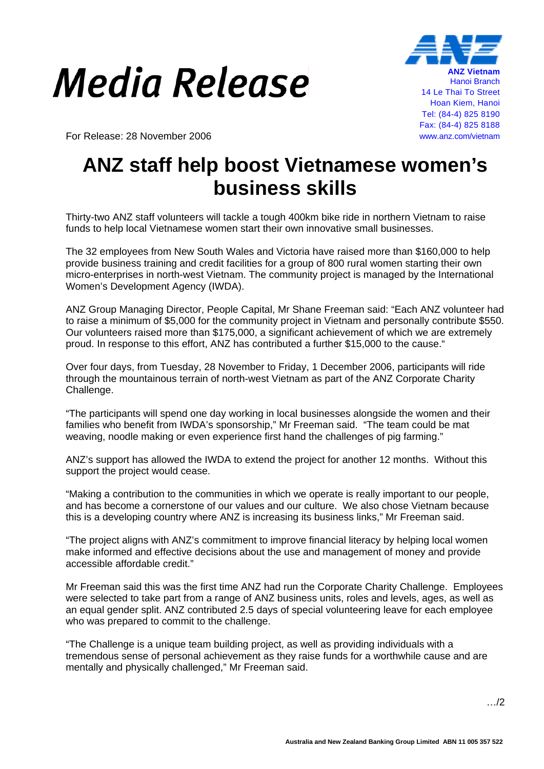## *Media Release*



For Release: 28 November 2006 www.anz.com/vietnam

## **ANZ staff help boost Vietnamese women's business skills**

Thirty-two ANZ staff volunteers will tackle a tough 400km bike ride in northern Vietnam to raise funds to help local Vietnamese women start their own innovative small businesses.

The 32 employees from New South Wales and Victoria have raised more than \$160,000 to help provide business training and credit facilities for a group of 800 rural women starting their own micro-enterprises in north-west Vietnam. The community project is managed by the International Women's Development Agency (IWDA).

ANZ Group Managing Director, People Capital, Mr Shane Freeman said: "Each ANZ volunteer had to raise a minimum of \$5,000 for the community project in Vietnam and personally contribute \$550. Our volunteers raised more than \$175,000, a significant achievement of which we are extremely proud. In response to this effort, ANZ has contributed a further \$15,000 to the cause."

Over four days, from Tuesday, 28 November to Friday, 1 December 2006, participants will ride through the mountainous terrain of north-west Vietnam as part of the ANZ Corporate Charity Challenge.

"The participants will spend one day working in local businesses alongside the women and their families who benefit from IWDA's sponsorship," Mr Freeman said. "The team could be mat weaving, noodle making or even experience first hand the challenges of pig farming."

ANZ's support has allowed the IWDA to extend the project for another 12 months. Without this support the project would cease.

"Making a contribution to the communities in which we operate is really important to our people, and has become a cornerstone of our values and our culture. We also chose Vietnam because this is a developing country where ANZ is increasing its business links," Mr Freeman said.

"The project aligns with ANZ's commitment to improve financial literacy by helping local women make informed and effective decisions about the use and management of money and provide accessible affordable credit."

Mr Freeman said this was the first time ANZ had run the Corporate Charity Challenge. Employees were selected to take part from a range of ANZ business units, roles and levels, ages, as well as an equal gender split. ANZ contributed 2.5 days of special volunteering leave for each employee who was prepared to commit to the challenge.

"The Challenge is a unique team building project, as well as providing individuals with a tremendous sense of personal achievement as they raise funds for a worthwhile cause and are mentally and physically challenged," Mr Freeman said.

…/2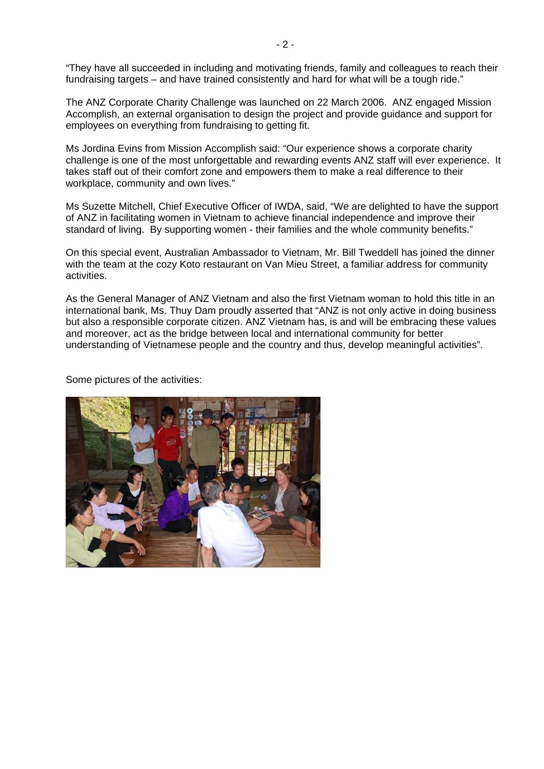"They have all succeeded in including and motivating friends, family and colleagues to reach their fundraising targets – and have trained consistently and hard for what will be a tough ride."

The ANZ Corporate Charity Challenge was launched on 22 March 2006. ANZ engaged Mission Accomplish, an external organisation to design the project and provide guidance and support for employees on everything from fundraising to getting fit.

Ms Jordina Evins from Mission Accomplish said: "Our experience shows a corporate charity challenge is one of the most unforgettable and rewarding events ANZ staff will ever experience. It takes staff out of their comfort zone and empowers them to make a real difference to their workplace, community and own lives."

Ms Suzette Mitchell, Chief Executive Officer of IWDA, said, "We are delighted to have the support of ANZ in facilitating women in Vietnam to achieve financial independence and improve their standard of living. By supporting women - their families and the whole community benefits."

On this special event, Australian Ambassador to Vietnam, Mr. Bill Tweddell has joined the dinner with the team at the cozy Koto restaurant on Van Mieu Street, a familiar address for community activities.

As the General Manager of ANZ Vietnam and also the first Vietnam woman to hold this title in an international bank, Ms. Thuy Dam proudly asserted that "ANZ is not only active in doing business but also a responsible corporate citizen. ANZ Vietnam has, is and will be embracing these values and moreover, act as the bridge between local and international community for better understanding of Vietnamese people and the country and thus, develop meaningful activities".

Some pictures of the activities: